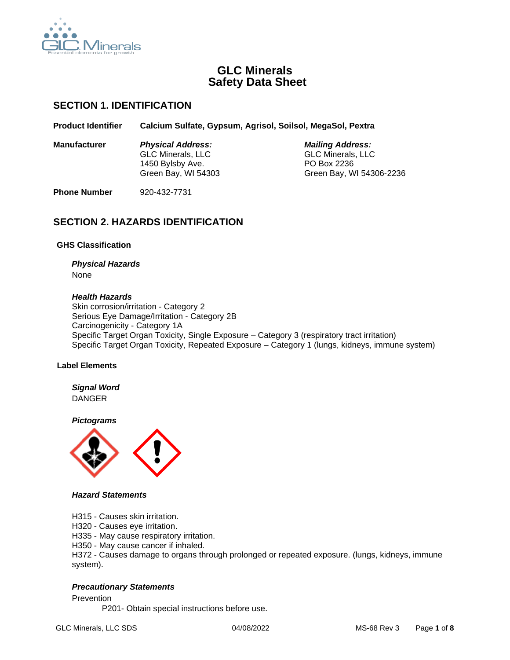

# **GLC Minerals Safety Data Sheet**

# **SECTION 1. IDENTIFICATION**

**Product Identifier Calcium Sulfate, Gypsum, Agrisol, Soilsol, MegaSol, Pextra**

**Manufacturer** *Physical Address: Mailing Address:* GLC Minerals, LLC GLC Minerals, LLC 1450 Bylsby Ave. PO Box 2236 Green Bay, WI 54303 Green Bay, WI 54306-2236

**Phone Number** 920-432-7731

# **SECTION 2. HAZARDS IDENTIFICATION**

## **GHS Classification**

## *Physical Hazards* None

#### *Health Hazards*

Skin corrosion/irritation - Category 2 Serious Eye Damage/Irritation - Category 2B Carcinogenicity - Category 1A Specific Target Organ Toxicity, Single Exposure – Category 3 (respiratory tract irritation) Specific Target Organ Toxicity, Repeated Exposure – Category 1 (lungs, kidneys, immune system)

## **Label Elements**

*Signal Word* DANGER

*Pictograms*



## *Hazard Statements*

H315 - Causes skin irritation.

H320 - Causes eye irritation.

H335 - May cause respiratory irritation.

H350 - May cause cancer if inhaled.

H372 - Causes damage to organs through prolonged or repeated exposure. (lungs, kidneys, immune system).

## *Precautionary Statements*

Prevention

P201- Obtain special instructions before use.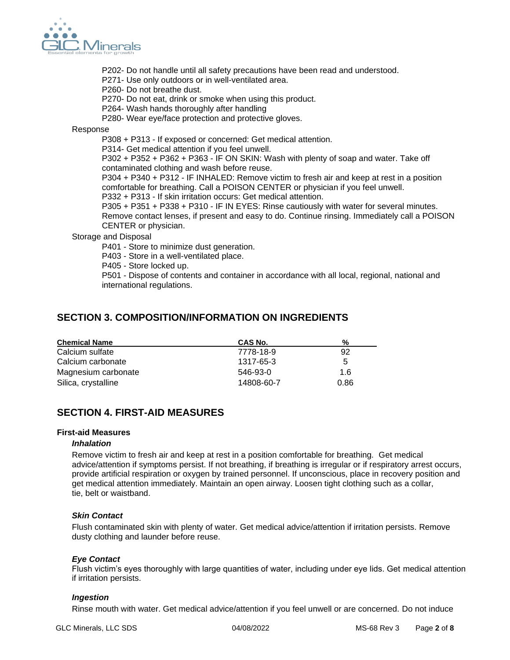

- P202- Do not handle until all safety precautions have been read and understood.
- P271- Use only outdoors or in well-ventilated area.
- P260- Do not breathe dust.
- P270- Do not eat, drink or smoke when using this product.
- P264- Wash hands thoroughly after handling
- P280- Wear eye/face protection and protective gloves.

Response

P308 + P313 - If exposed or concerned: Get medical attention.

P314- Get medical attention if you feel unwell.

P302 + P352 + P362 + P363 - IF ON SKIN: Wash with plenty of soap and water. Take off contaminated clothing and wash before reuse.

P304 + P340 + P312 - IF INHALED: Remove victim to fresh air and keep at rest in a position comfortable for breathing. Call a POISON CENTER or physician if you feel unwell.

P332 + P313 - If skin irritation occurs: Get medical attention.

P305 + P351 + P338 + P310 - IF IN EYES: Rinse cautiously with water for several minutes. Remove contact lenses, if present and easy to do. Continue rinsing. Immediately call a POISON CENTER or physician.

Storage and Disposal

P401 - Store to minimize dust generation.

P403 - Store in a well-ventilated place.

P405 - Store locked up.

P501 - Dispose of contents and container in accordance with all local, regional, national and international regulations.

# **SECTION 3. COMPOSITION/INFORMATION ON INGREDIENTS**

| <b>Chemical Name</b> | CAS No.    | %    |
|----------------------|------------|------|
| Calcium sulfate      | 7778-18-9  | 92   |
| Calcium carbonate    | 1317-65-3  | 5    |
| Magnesium carbonate  | 546-93-0   | 1.6  |
| Silica, crystalline  | 14808-60-7 | 0.86 |

# **SECTION 4. FIRST-AID MEASURES**

#### **First-aid Measures**

## *Inhalation*

Remove victim to fresh air and keep at rest in a position comfortable for breathing. Get medical advice/attention if symptoms persist. If not breathing, if breathing is irregular or if respiratory arrest occurs, provide artificial respiration or oxygen by trained personnel. If unconscious, place in recovery position and get medical attention immediately. Maintain an open airway. Loosen tight clothing such as a collar, tie, belt or waistband.

## *Skin Contact*

Flush contaminated skin with plenty of water. Get medical advice/attention if irritation persists. Remove dusty clothing and launder before reuse.

## *Eye Contact*

Flush victim's eyes thoroughly with large quantities of water, including under eye lids. Get medical attention if irritation persists.

#### *Ingestion*

Rinse mouth with water. Get medical advice/attention if you feel unwell or are concerned. Do not induce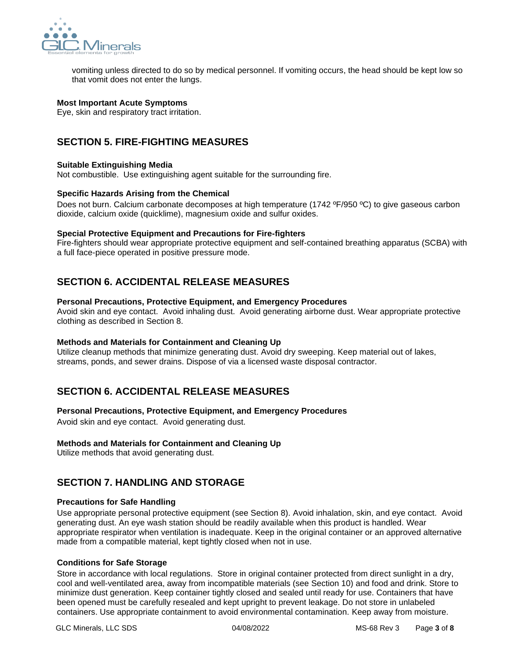

vomiting unless directed to do so by medical personnel. If vomiting occurs, the head should be kept low so that vomit does not enter the lungs.

## **Most Important Acute Symptoms**

Eye, skin and respiratory tract irritation.

# **SECTION 5. FIRE-FIGHTING MEASURES**

#### **Suitable Extinguishing Media**

Not combustible. Use extinguishing agent suitable for the surrounding fire.

#### **Specific Hazards Arising from the Chemical**

Does not burn. Calcium carbonate decomposes at high temperature (1742 °F/950 °C) to give gaseous carbon dioxide, calcium oxide (quicklime), magnesium oxide and sulfur oxides.

#### **Special Protective Equipment and Precautions for Fire-fighters**

Fire-fighters should wear appropriate protective equipment and self-contained breathing apparatus (SCBA) with a full face-piece operated in positive pressure mode.

# **SECTION 6. ACCIDENTAL RELEASE MEASURES**

#### **Personal Precautions, Protective Equipment, and Emergency Procedures**

Avoid skin and eye contact. Avoid inhaling dust. Avoid generating airborne dust. Wear appropriate protective clothing as described in Section 8.

## **Methods and Materials for Containment and Cleaning Up**

Utilize cleanup methods that minimize generating dust. Avoid dry sweeping. Keep material out of lakes, streams, ponds, and sewer drains. Dispose of via a licensed waste disposal contractor.

# **SECTION 6. ACCIDENTAL RELEASE MEASURES**

## **Personal Precautions, Protective Equipment, and Emergency Procedures**

Avoid skin and eye contact. Avoid generating dust.

## **Methods and Materials for Containment and Cleaning Up**

Utilize methods that avoid generating dust.

# **SECTION 7. HANDLING AND STORAGE**

## **Precautions for Safe Handling**

Use appropriate personal protective equipment (see Section 8). Avoid inhalation, skin, and eye contact. Avoid generating dust. An eye wash station should be readily available when this product is handled. Wear appropriate respirator when ventilation is inadequate. Keep in the original container or an approved alternative made from a compatible material, kept tightly closed when not in use.

## **Conditions for Safe Storage**

Store in accordance with local regulations. Store in original container protected from direct sunlight in a dry, cool and well-ventilated area, away from incompatible materials (see Section 10) and food and drink. Store to minimize dust generation. Keep container tightly closed and sealed until ready for use. Containers that have been opened must be carefully resealed and kept upright to prevent leakage. Do not store in unlabeled containers. Use appropriate containment to avoid environmental contamination. Keep away from moisture.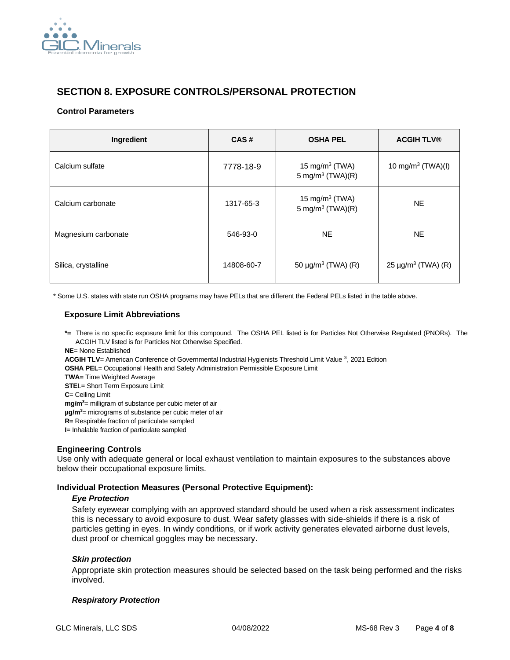

# **SECTION 8. EXPOSURE CONTROLS/PERSONAL PROTECTION**

#### **Control Parameters**

| Ingredient          | CAS#       | <b>OSHA PEL</b>                                   | <b>ACGIH TLV®</b>             |
|---------------------|------------|---------------------------------------------------|-------------------------------|
| Calcium sulfate     | 7778-18-9  | 15 mg/m $3$ (TWA)<br>5 mg/m <sup>3</sup> (TWA)(R) | 10 mg/m <sup>3</sup> (TWA)(I) |
| Calcium carbonate   | 1317-65-3  | 15 mg/m $3$ (TWA)<br>5 mg/m <sup>3</sup> (TWA)(R) | NE.                           |
| Magnesium carbonate | 546-93-0   | <b>NE</b>                                         | <b>NE</b>                     |
| Silica, crystalline | 14808-60-7 | 50 $\mu$ g/m <sup>3</sup> (TWA) (R)               | $25 \mu g/m^3$ (TWA) (R)      |

\* Some U.S. states with state run OSHA programs may have PELs that are different the Federal PELs listed in the table above.

## **Exposure Limit Abbreviations**

**\*=** There is no specific exposure limit for this compound. The OSHA PEL listed is for Particles Not Otherwise Regulated (PNORs). The ACGIH TLV listed is for Particles Not Otherwise Specified.

**NE**= None Established

**ACGIH TLV**= American Conference of Governmental Industrial Hygienists Threshold Limit Value ® , 2021 Edition

**OSHA PEL**= Occupational Health and Safety Administration Permissible Exposure Limit

**TWA=** Time Weighted Average

**STEL**= Short Term Exposure Limit

**C**= Ceiling Limit

**mg/m<sup>3</sup>**= milligram of substance per cubic meter of air

**µg/m<sup>3</sup>**= micrograms of substance per cubic meter of air

**R=** Respirable fraction of particulate sampled

**I**= Inhalable fraction of particulate sampled

## **Engineering Controls**

Use only with adequate general or local exhaust ventilation to maintain exposures to the substances above below their occupational exposure limits.

## **Individual Protection Measures (Personal Protective Equipment):**

#### *Eye Protection*

Safety eyewear complying with an approved standard should be used when a risk assessment indicates this is necessary to avoid exposure to dust. Wear safety glasses with side-shields if there is a risk of particles getting in eyes. In windy conditions, or if work activity generates elevated airborne dust levels, dust proof or chemical goggles may be necessary.

## *Skin protection*

Appropriate skin protection measures should be selected based on the task being performed and the risks involved.

## *Respiratory Protection*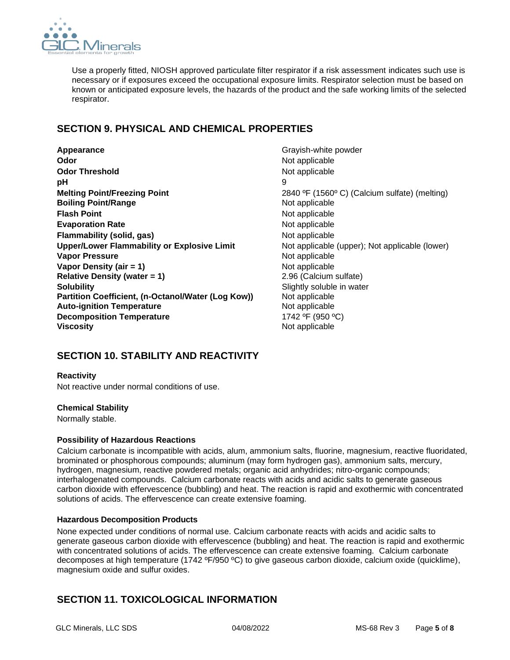

Use a properly fitted, NIOSH approved particulate filter respirator if a risk assessment indicates such use is necessary or if exposures exceed the occupational exposure limits. Respirator selection must be based on known or anticipated exposure levels, the hazards of the product and the safe working limits of the selected respirator.

# **SECTION 9. PHYSICAL AND CHEMICAL PROPERTIES**

**Appearance Grayish-white powder Odor** Not applicable **Odor Threshold Not applicable** Not applicable **pH** 9 **Melting Point/Freezing Point** 2840 °F (1560°C) (Calcium sulfate) (melting) **Boiling Point/Range Not applicable** Not applicable **Flash Point** Not applicable Not applicable **Evaporation Rate** Not applicable **Flammability (solid, gas)** Not applicable **Upper/Lower Flammability or Explosive Limit** Not applicable (upper); Not applicable (lower) **Vapor Pressure** Not applicable **Vapor Density (air = 1)** Not applicable **Relative Density (water = 1)** 2.96 (Calcium sulfate) **Solubility** Soluble in water **Partition Coefficient, (n-Octanol/Water (Log Kow))** Not applicable **Auto-ignition Temperature** Not applicable **Decomposition Temperature** 1742 °F (950 °C) **Viscosity** Not applicable

# **SECTION 10. STABILITY AND REACTIVITY**

## **Reactivity**

Not reactive under normal conditions of use.

## **Chemical Stability**

Normally stable.

## **Possibility of Hazardous Reactions**

Calcium carbonate is incompatible with acids, alum, ammonium salts, fluorine, magnesium, reactive fluoridated, brominated or phosphorous compounds; aluminum (may form hydrogen gas), ammonium salts, mercury, hydrogen, magnesium, reactive powdered metals; organic acid anhydrides; nitro-organic compounds; interhalogenated compounds. Calcium carbonate reacts with acids and acidic salts to generate gaseous carbon dioxide with effervescence (bubbling) and heat. The reaction is rapid and exothermic with concentrated solutions of acids. The effervescence can create extensive foaming.

## **Hazardous Decomposition Products**

None expected under conditions of normal use. Calcium carbonate reacts with acids and acidic salts to generate gaseous carbon dioxide with effervescence (bubbling) and heat. The reaction is rapid and exothermic with concentrated solutions of acids. The effervescence can create extensive foaming. Calcium carbonate decomposes at high temperature (1742 ºF/950 ºC) to give gaseous carbon dioxide, calcium oxide (quicklime), magnesium oxide and sulfur oxides.

# **SECTION 11. TOXICOLOGICAL INFORMATION**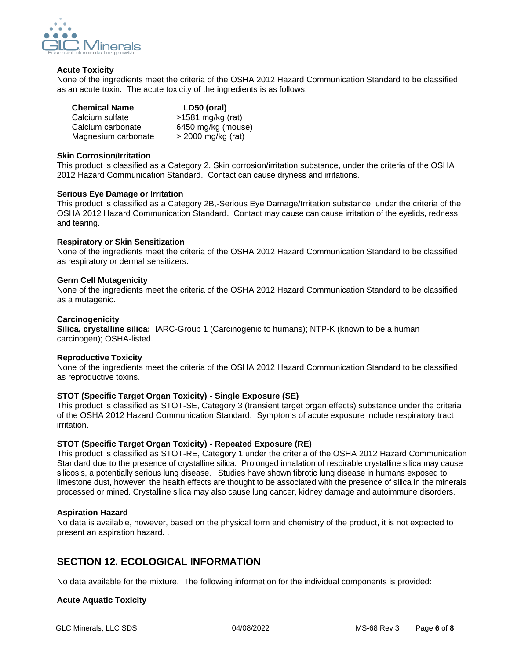

#### **Acute Toxicity**

None of the ingredients meet the criteria of the OSHA 2012 Hazard Communication Standard to be classified as an acute toxin. The acute toxicity of the ingredients is as follows:

| <b>Chemical Name</b> | LD50 (oral)          |
|----------------------|----------------------|
| Calcium sulfate      | $>1581$ mg/kg (rat)  |
| Calcium carbonate    | 6450 mg/kg (mouse)   |
| Magnesium carbonate  | $>$ 2000 mg/kg (rat) |

#### **Skin Corrosion/Irritation**

This product is classified as a Category 2, Skin corrosion/irritation substance, under the criteria of the OSHA 2012 Hazard Communication Standard. Contact can cause dryness and irritations.

#### **Serious Eye Damage or Irritation**

This product is classified as a Category 2B,-Serious Eye Damage/Irritation substance, under the criteria of the OSHA 2012 Hazard Communication Standard. Contact may cause can cause irritation of the eyelids, redness, and tearing.

#### **Respiratory or Skin Sensitization**

None of the ingredients meet the criteria of the OSHA 2012 Hazard Communication Standard to be classified as respiratory or dermal sensitizers.

#### **Germ Cell Mutagenicity**

None of the ingredients meet the criteria of the OSHA 2012 Hazard Communication Standard to be classified as a mutagenic.

#### **Carcinogenicity**

**Silica, crystalline silica:** IARC-Group 1 (Carcinogenic to humans); NTP-K (known to be a human carcinogen); OSHA-listed.

#### **Reproductive Toxicity**

None of the ingredients meet the criteria of the OSHA 2012 Hazard Communication Standard to be classified as reproductive toxins.

## **STOT (Specific Target Organ Toxicity) - Single Exposure (SE)**

This product is classified as STOT-SE, Category 3 (transient target organ effects) substance under the criteria of the OSHA 2012 Hazard Communication Standard. Symptoms of acute exposure include respiratory tract irritation.

## **STOT (Specific Target Organ Toxicity) - Repeated Exposure (RE)**

This product is classified as STOT-RE, Category 1 under the criteria of the OSHA 2012 Hazard Communication Standard due to the presence of crystalline silica. Prolonged inhalation of respirable crystalline silica may cause silicosis, a potentially serious lung disease. Studies have shown fibrotic lung disease in humans exposed to limestone dust, however, the health effects are thought to be associated with the presence of silica in the minerals processed or mined. Crystalline silica may also cause lung cancer, kidney damage and autoimmune disorders.

## **Aspiration Hazard**

No data is available, however, based on the physical form and chemistry of the product, it is not expected to present an aspiration hazard. .

# **SECTION 12. ECOLOGICAL INFORMATION**

No data available for the mixture. The following information for the individual components is provided:

## **Acute Aquatic Toxicity**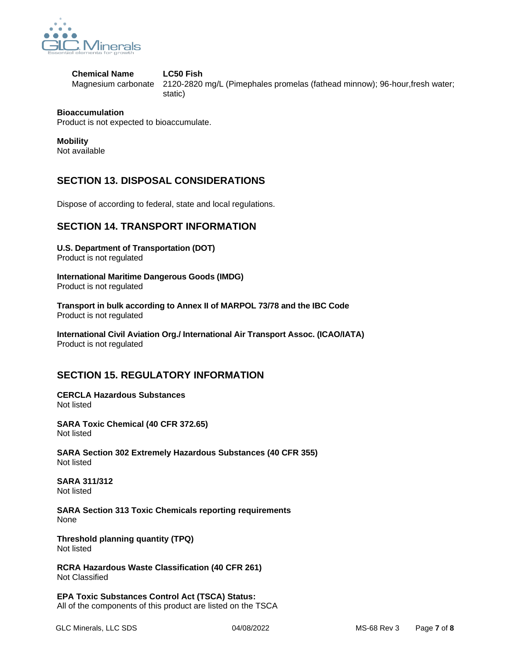

**Chemical Name LC50 Fish** 

Magnesium carbonate 2120-2820 mg/L (Pimephales promelas (fathead minnow); 96-hour,fresh water; static)

## **Bioaccumulation**

Product is not expected to bioaccumulate.

## **Mobility**

Not available

# **SECTION 13. DISPOSAL CONSIDERATIONS**

Dispose of according to federal, state and local regulations.

# **SECTION 14. TRANSPORT INFORMATION**

**U.S. Department of Transportation (DOT)**  Product is not regulated

**International Maritime Dangerous Goods (IMDG)** Product is not regulated

**Transport in bulk according to Annex II of MARPOL 73/78 and the IBC Code** Product is not regulated

**International Civil Aviation Org./ International Air Transport Assoc. (ICAO/IATA)** Product is not regulated

# **SECTION 15. REGULATORY INFORMATION**

**CERCLA Hazardous Substances** Not listed

**SARA Toxic Chemical (40 CFR 372.65)** Not listed

**SARA Section 302 Extremely Hazardous Substances (40 CFR 355)** Not listed

**SARA 311/312** Not listed

**SARA Section 313 Toxic Chemicals reporting requirements** None

**Threshold planning quantity (TPQ)** Not listed

**RCRA Hazardous Waste Classification (40 CFR 261)** Not Classified

**EPA Toxic Substances Control Act (TSCA) Status:**  All of the components of this product are listed on the TSCA